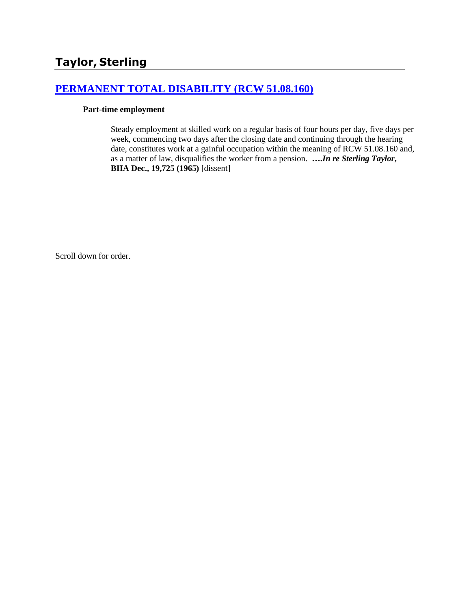# **[PERMANENT TOTAL DISABILITY \(RCW 51.08.160\)](http://www.biia.wa.gov/SDSubjectIndex.html#PERMANENT_TOTAL_DISABILITY)**

#### **Part-time employment**

Steady employment at skilled work on a regular basis of four hours per day, five days per week, commencing two days after the closing date and continuing through the hearing date, constitutes work at a gainful occupation within the meaning of RCW 51.08.160 and, as a matter of law, disqualifies the worker from a pension. **….***In re Sterling Taylor***, BIIA Dec., 19,725 (1965)** [dissent]

Scroll down for order.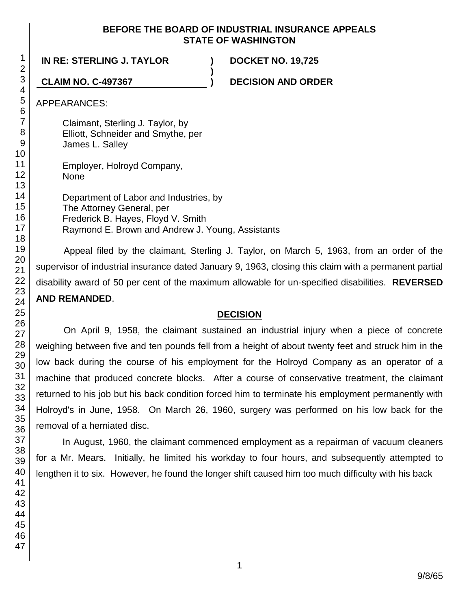## **BEFORE THE BOARD OF INDUSTRIAL INSURANCE APPEALS STATE OF WASHINGTON**

**)**

**IN RE: STERLING J. TAYLOR ) DOCKET NO. 19,725**

**CLAIM NO. C-497367 ) DECISION AND ORDER**

APPEARANCES:

Claimant, Sterling J. Taylor, by Elliott, Schneider and Smythe, per James L. Salley

Employer, Holroyd Company, None

Department of Labor and Industries, by The Attorney General, per Frederick B. Hayes, Floyd V. Smith Raymond E. Brown and Andrew J. Young, Assistants

Appeal filed by the claimant, Sterling J. Taylor, on March 5, 1963, from an order of the supervisor of industrial insurance dated January 9, 1963, closing this claim with a permanent partial disability award of 50 per cent of the maximum allowable for un-specified disabilities. **REVERSED AND REMANDED**.

## **DECISION**

On April 9, 1958, the claimant sustained an industrial injury when a piece of concrete weighing between five and ten pounds fell from a height of about twenty feet and struck him in the low back during the course of his employment for the Holroyd Company as an operator of a machine that produced concrete blocks. After a course of conservative treatment, the claimant returned to his job but his back condition forced him to terminate his employment permanently with Holroyd's in June, 1958. On March 26, 1960, surgery was performed on his low back for the removal of a herniated disc.

In August, 1960, the claimant commenced employment as a repairman of vacuum cleaners for a Mr. Mears. Initially, he limited his workday to four hours, and subsequently attempted to lengthen it to six. However, he found the longer shift caused him too much difficulty with his back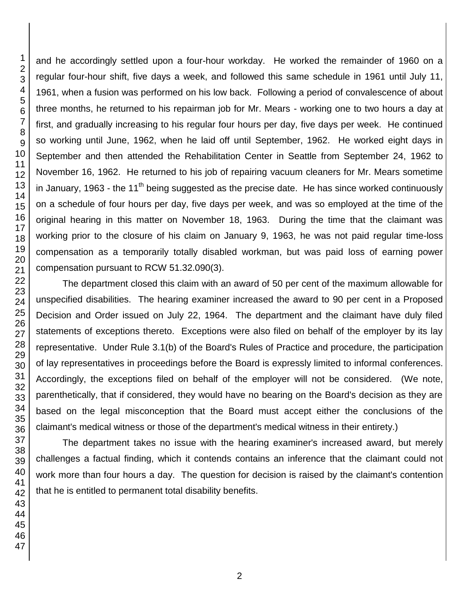and he accordingly settled upon a four-hour workday. He worked the remainder of 1960 on a regular four-hour shift, five days a week, and followed this same schedule in 1961 until July 11, 1961, when a fusion was performed on his low back. Following a period of convalescence of about three months, he returned to his repairman job for Mr. Mears - working one to two hours a day at first, and gradually increasing to his regular four hours per day, five days per week. He continued so working until June, 1962, when he laid off until September, 1962. He worked eight days in September and then attended the Rehabilitation Center in Seattle from September 24, 1962 to November 16, 1962. He returned to his job of repairing vacuum cleaners for Mr. Mears sometime in January, 1963 - the 11<sup>th</sup> being suggested as the precise date. He has since worked continuously on a schedule of four hours per day, five days per week, and was so employed at the time of the original hearing in this matter on November 18, 1963. During the time that the claimant was working prior to the closure of his claim on January 9, 1963, he was not paid regular time-loss compensation as a temporarily totally disabled workman, but was paid loss of earning power compensation pursuant to RCW 51.32.090(3).

The department closed this claim with an award of 50 per cent of the maximum allowable for unspecified disabilities. The hearing examiner increased the award to 90 per cent in a Proposed Decision and Order issued on July 22, 1964. The department and the claimant have duly filed statements of exceptions thereto. Exceptions were also filed on behalf of the employer by its lay representative. Under Rule 3.1(b) of the Board's Rules of Practice and procedure, the participation of lay representatives in proceedings before the Board is expressly limited to informal conferences. Accordingly, the exceptions filed on behalf of the employer will not be considered. (We note, parenthetically, that if considered, they would have no bearing on the Board's decision as they are based on the legal misconception that the Board must accept either the conclusions of the claimant's medical witness or those of the department's medical witness in their entirety.)

The department takes no issue with the hearing examiner's increased award, but merely challenges a factual finding, which it contends contains an inference that the claimant could not work more than four hours a day. The question for decision is raised by the claimant's contention that he is entitled to permanent total disability benefits.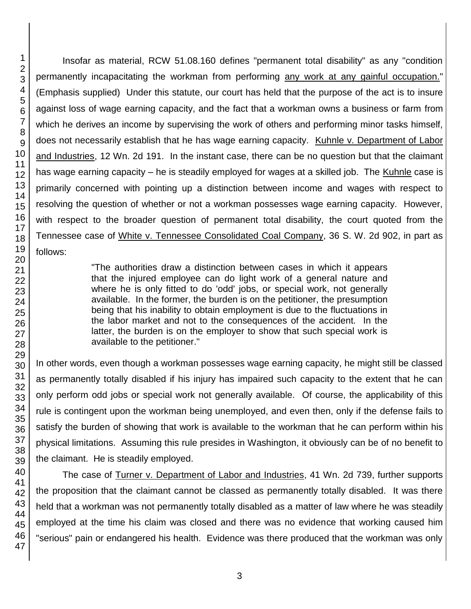Insofar as material, RCW 51.08.160 defines "permanent total disability" as any "condition permanently incapacitating the workman from performing any work at any gainful occupation." (Emphasis supplied) Under this statute, our court has held that the purpose of the act is to insure against loss of wage earning capacity, and the fact that a workman owns a business or farm from which he derives an income by supervising the work of others and performing minor tasks himself, does not necessarily establish that he has wage earning capacity. Kuhnle v. Department of Labor and Industries, 12 Wn. 2d 191. In the instant case, there can be no question but that the claimant has wage earning capacity – he is steadily employed for wages at a skilled job. The Kuhnle case is primarily concerned with pointing up a distinction between income and wages with respect to resolving the question of whether or not a workman possesses wage earning capacity. However, with respect to the broader question of permanent total disability, the court quoted from the Tennessee case of White v. Tennessee Consolidated Coal Company, 36 S. W. 2d 902, in part as follows:

> "The authorities draw a distinction between cases in which it appears that the injured employee can do light work of a general nature and where he is only fitted to do 'odd' jobs, or special work, not generally available. In the former, the burden is on the petitioner, the presumption being that his inability to obtain employment is due to the fluctuations in the labor market and not to the consequences of the accident. In the latter, the burden is on the employer to show that such special work is available to the petitioner."

In other words, even though a workman possesses wage earning capacity, he might still be classed as permanently totally disabled if his injury has impaired such capacity to the extent that he can only perform odd jobs or special work not generally available. Of course, the applicability of this rule is contingent upon the workman being unemployed, and even then, only if the defense fails to satisfy the burden of showing that work is available to the workman that he can perform within his physical limitations. Assuming this rule presides in Washington, it obviously can be of no benefit to the claimant. He is steadily employed.

The case of Turner v. Department of Labor and Industries, 41 Wn. 2d 739, further supports the proposition that the claimant cannot be classed as permanently totally disabled. It was there held that a workman was not permanently totally disabled as a matter of law where he was steadily employed at the time his claim was closed and there was no evidence that working caused him "serious" pain or endangered his health. Evidence was there produced that the workman was only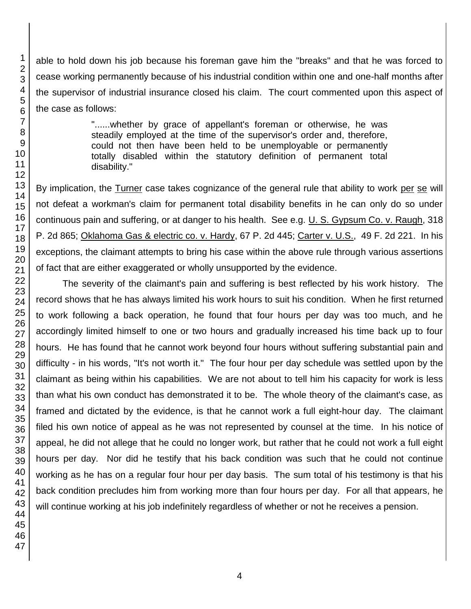able to hold down his job because his foreman gave him the "breaks" and that he was forced to cease working permanently because of his industrial condition within one and one-half months after the supervisor of industrial insurance closed his claim. The court commented upon this aspect of the case as follows:

> "......whether by grace of appellant's foreman or otherwise, he was steadily employed at the time of the supervisor's order and, therefore, could not then have been held to be unemployable or permanently totally disabled within the statutory definition of permanent total disability."

By implication, the Turner case takes cognizance of the general rule that ability to work per se will not defeat a workman's claim for permanent total disability benefits in he can only do so under continuous pain and suffering, or at danger to his health. See e.g. U. S. Gypsum Co. v. Raugh, 318 P. 2d 865; Oklahoma Gas & electric co. v. Hardy, 67 P. 2d 445; Carter v. U.S., 49 F. 2d 221. In his exceptions, the claimant attempts to bring his case within the above rule through various assertions of fact that are either exaggerated or wholly unsupported by the evidence.

The severity of the claimant's pain and suffering is best reflected by his work history. The record shows that he has always limited his work hours to suit his condition. When he first returned to work following a back operation, he found that four hours per day was too much, and he accordingly limited himself to one or two hours and gradually increased his time back up to four hours. He has found that he cannot work beyond four hours without suffering substantial pain and difficulty - in his words, "It's not worth it." The four hour per day schedule was settled upon by the claimant as being within his capabilities. We are not about to tell him his capacity for work is less than what his own conduct has demonstrated it to be. The whole theory of the claimant's case, as framed and dictated by the evidence, is that he cannot work a full eight-hour day. The claimant filed his own notice of appeal as he was not represented by counsel at the time. In his notice of appeal, he did not allege that he could no longer work, but rather that he could not work a full eight hours per day. Nor did he testify that his back condition was such that he could not continue working as he has on a regular four hour per day basis. The sum total of his testimony is that his back condition precludes him from working more than four hours per day. For all that appears, he will continue working at his job indefinitely regardless of whether or not he receives a pension.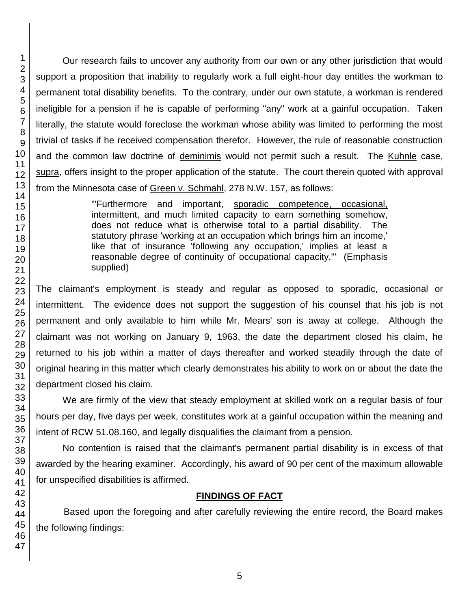Our research fails to uncover any authority from our own or any other jurisdiction that would support a proposition that inability to regularly work a full eight-hour day entitles the workman to permanent total disability benefits. To the contrary, under our own statute, a workman is rendered ineligible for a pension if he is capable of performing "any" work at a gainful occupation. Taken literally, the statute would foreclose the workman whose ability was limited to performing the most trivial of tasks if he received compensation therefor. However, the rule of reasonable construction and the common law doctrine of deminimis would not permit such a result. The Kuhnle case, supra, offers insight to the proper application of the statute. The court therein quoted with approval from the Minnesota case of Green v. Schmahl, 278 N.W. 157, as follows:

> "'Furthermore and important, sporadic competence, occasional, intermittent, and much limited capacity to earn something somehow, does not reduce what is otherwise total to a partial disability. The statutory phrase 'working at an occupation which brings him an income,' like that of insurance 'following any occupation,' implies at least a reasonable degree of continuity of occupational capacity.'" (Emphasis supplied)

The claimant's employment is steady and regular as opposed to sporadic, occasional or intermittent. The evidence does not support the suggestion of his counsel that his job is not permanent and only available to him while Mr. Mears' son is away at college. Although the claimant was not working on January 9, 1963, the date the department closed his claim, he returned to his job within a matter of days thereafter and worked steadily through the date of original hearing in this matter which clearly demonstrates his ability to work on or about the date the department closed his claim.

We are firmly of the view that steady employment at skilled work on a regular basis of four hours per day, five days per week, constitutes work at a gainful occupation within the meaning and intent of RCW 51.08.160, and legally disqualifies the claimant from a pension.

No contention is raised that the claimant's permanent partial disability is in excess of that awarded by the hearing examiner. Accordingly, his award of 90 per cent of the maximum allowable for unspecified disabilities is affirmed.

## **FINDINGS OF FACT**

Based upon the foregoing and after carefully reviewing the entire record, the Board makes the following findings: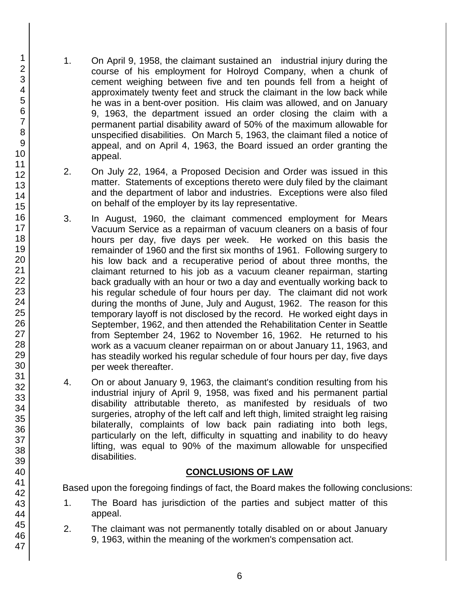- 1. On April 9, 1958, the claimant sustained an industrial injury during the course of his employment for Holroyd Company, when a chunk of cement weighing between five and ten pounds fell from a height of approximately twenty feet and struck the claimant in the low back while he was in a bent-over position. His claim was allowed, and on January 9, 1963, the department issued an order closing the claim with a permanent partial disability award of 50% of the maximum allowable for unspecified disabilities. On March 5, 1963, the claimant filed a notice of appeal, and on April 4, 1963, the Board issued an order granting the appeal.
- 2. On July 22, 1964, a Proposed Decision and Order was issued in this matter. Statements of exceptions thereto were duly filed by the claimant and the department of labor and industries. Exceptions were also filed on behalf of the employer by its lay representative.
- 3. In August, 1960, the claimant commenced employment for Mears Vacuum Service as a repairman of vacuum cleaners on a basis of four hours per day, five days per week. He worked on this basis the remainder of 1960 and the first six months of 1961. Following surgery to his low back and a recuperative period of about three months, the claimant returned to his job as a vacuum cleaner repairman, starting back gradually with an hour or two a day and eventually working back to his regular schedule of four hours per day. The claimant did not work during the months of June, July and August, 1962. The reason for this temporary layoff is not disclosed by the record. He worked eight days in September, 1962, and then attended the Rehabilitation Center in Seattle from September 24, 1962 to November 16, 1962. He returned to his work as a vacuum cleaner repairman on or about January 11, 1963, and has steadily worked his regular schedule of four hours per day, five days per week thereafter.
- 4. On or about January 9, 1963, the claimant's condition resulting from his industrial injury of April 9, 1958, was fixed and his permanent partial disability attributable thereto, as manifested by residuals of two surgeries, atrophy of the left calf and left thigh, limited straight leg raising bilaterally, complaints of low back pain radiating into both legs, particularly on the left, difficulty in squatting and inability to do heavy lifting, was equal to 90% of the maximum allowable for unspecified disabilities.

## **CONCLUSIONS OF LAW**

Based upon the foregoing findings of fact, the Board makes the following conclusions:

- 1. The Board has jurisdiction of the parties and subject matter of this appeal.
- 2. The claimant was not permanently totally disabled on or about January 9, 1963, within the meaning of the workmen's compensation act.